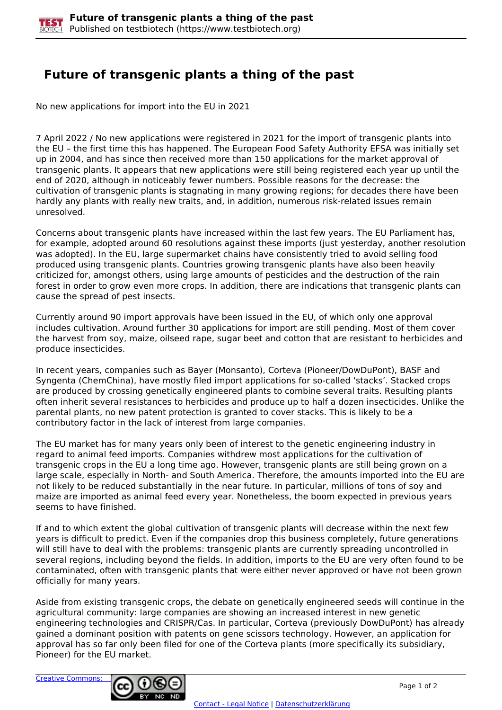## **Future of transgenic plants a thing of the past**

No new applications for import into the EU in 2021

7 April 2022 / No new applications were registered in 2021 for the import of transgenic plants into the EU – the first time this has happened. The European Food Safety Authority EFSA was initially set up in 2004, and has since then received more than 150 applications for the market approval of transgenic plants. It appears that new applications were still being registered each year up until the end of 2020, although in noticeably fewer numbers. Possible reasons for the decrease: the cultivation of transgenic plants is stagnating in many growing regions; for decades there have been hardly any plants with really new traits, and, in addition, numerous risk-related issues remain unresolved.

Concerns about transgenic plants have increased within the last few years. The EU Parliament has, for example, adopted around 60 resolutions against these imports (just yesterday, another resolution was adopted). In the EU, large supermarket chains have consistently tried to avoid selling food produced using transgenic plants. Countries growing transgenic plants have also been heavily criticized for, amongst others, using large amounts of pesticides and the destruction of the rain forest in order to grow even more crops. In addition, there are indications that transgenic plants can cause the spread of pest insects.

Currently around 90 import approvals have been issued in the EU, of which only one approval includes cultivation. Around further 30 applications for import are still pending. Most of them cover the harvest from soy, maize, oilseed rape, sugar beet and cotton that are resistant to herbicides and produce insecticides.

In recent years, companies such as Bayer (Monsanto), Corteva (Pioneer/DowDuPont), BASF and Syngenta (ChemChina), have mostly filed import applications for so-called 'stacks'. Stacked crops are produced by crossing genetically engineered plants to combine several traits. Resulting plants often inherit several resistances to herbicides and produce up to half a dozen insecticides. Unlike the parental plants, no new patent protection is granted to cover stacks. This is likely to be a contributory factor in the lack of interest from large companies.

The EU market has for many years only been of interest to the genetic engineering industry in regard to animal feed imports. Companies withdrew most applications for the cultivation of transgenic crops in the EU a long time ago. However, transgenic plants are still being grown on a large scale, especially in North- and South America. Therefore, the amounts imported into the EU are not likely to be reduced substantially in the near future. In particular, millions of tons of soy and maize are imported as animal feed every year. Nonetheless, the boom expected in previous years seems to have finished.

If and to which extent the global cultivation of transgenic plants will decrease within the next few years is difficult to predict. Even if the companies drop this business completely, future generations will still have to deal with the problems: transgenic plants are currently spreading uncontrolled in several regions, including beyond the fields. In addition, imports to the EU are very often found to be contaminated, often with transgenic plants that were either never approved or have not been grown officially for many years.

Aside from existing transgenic crops, the debate on genetically engineered seeds will continue in the agricultural community: large companies are showing an increased interest in new genetic engineering technologies and CRISPR/Cas. In particular, Corteva (previously DowDuPont) has already gained a dominant position with patents on gene scissors technology. However, an application for approval has so far only been filed for one of the Corteva plants (more specifically its subsidiary, Pioneer) for the EU market.

[Creative Commons:](http://creativecommons.org/licenses/by-nc-nd/3.0/de/)